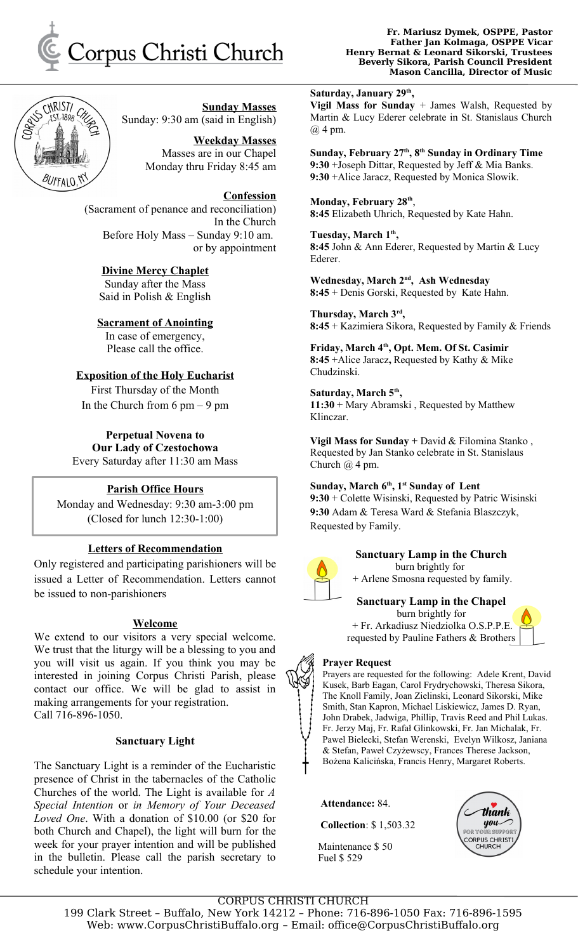



**Sunday Masses** Sunday: 9:30 am (said in English)

> **Weekday Masses** Masses are in our Chapel Monday thru Friday 8:45 am

## **Confession**

(Sacrament of penance and reconciliation) In the Church Before Holy Mass – Sunday 9:10 am. or by appointment

# **Divine Mercy Chaplet**

Sunday after the Mass Said in Polish & English

**Sacrament of Anointing**

In case of emergency, Please call the office.

# **Exposition of the Holy Eucharist**

First Thursday of the Month In the Church from  $6 \text{ pm} - 9 \text{ pm}$ 

**Perpetual Novena to Our Lady of Czestochowa** Every Saturday after 11:30 am Mass

# **Parish Office Hours**

Monday and Wednesday: 9:30 am-3:00 pm (Closed for lunch 12:30-1:00)

# **Letters of Recommendation**

Only registered and participating parishioners will be issued a Letter of Recommendation. Letters cannot be issued to non-parishioners

# **Welcome**

We extend to our visitors a very special welcome. We trust that the liturgy will be a blessing to you and you will visit us again. If you think you may be interested in joining Corpus Christi Parish, please contact our office. We will be glad to assist in making arrangements for your registration. Call 716-896-1050.

## **Sanctuary Light**

The Sanctuary Light is a reminder of the Eucharistic presence of Christ in the tabernacles of the Catholic Churches of the world. The Light is available for *A Special Intention* or *in Memory of Your Deceased Loved One*. With a donation of \$10.00 (or \$20 for both Church and Chapel), the light will burn for the week for your prayer intention and will be published in the bulletin. Please call the parish secretary to schedule your intention.

#### **Fr. Mariusz Dymek, OSPPE, Pastor Father Jan Kolmaga, OSPPE Vicar Henry Bernat & Leonard Sikorski, Trustees Beverly Sikora, Parish Council President Mason Cancilla, Director of Music**

**Saturday, January 29th ,** 

**Vigil Mass for Sunday** + James Walsh, Requested by Martin & Lucy Ederer celebrate in St. Stanislaus Church  $(a)$  4 pm.

**Sunday, February 27th, 8th Sunday in Ordinary Time 9:30** +Joseph Dittar, Requested by Jeff & Mia Banks. **9:30** +Alice Jaracz, Requested by Monica Slowik.

**Monday, February 28th** , **8:45** Elizabeth Uhrich, Requested by Kate Hahn.

**Tuesday, March 1th , 8:45** John & Ann Ederer, Requested by Martin & Lucy Ederer.

**Wednesday, March 2nd, Ash Wednesday 8:45** + Denis Gorski, Requested by Kate Hahn.

**Thursday, March 3rd , 8:45** + Kazimiera Sikora, Requested by Family & Friends

**Friday, March 4th, Opt. Mem. Of St. Casimir 8:45** +Alice Jaracz**,** Requested by Kathy & Mike Chudzinski.

**Saturday, March 5th , 11:30** + Mary Abramski , Requested by Matthew Klinczar.

**Vigil Mass for Sunday +** David & Filomina Stanko , Requested by Jan Stanko celebrate in St. Stanislaus Church @ 4 pm.

**Sunday, March 6th, 1st Sunday of Lent 9:30** + Colette Wisinski, Requested by Patric Wisinski **9:30** Adam & Teresa Ward & Stefania Blaszczyk, Requested by Family.



# **Sanctuary Lamp in the Church** burn brightly for

+ Arlene Smosna requested by family.

# **Sanctuary Lamp in the Chapel**

burn brightly for + Fr. Arkadiusz Niedziolka O.S.P.P.E. requested by Pauline Fathers & Brothers

## **Prayer Request**

Prayers are requested for the following: Adele Krent, David Kusek, Barb Eagan, Carol Frydrychowski, Theresa Sikora, The Knoll Family, Joan Zielinski, Leonard Sikorski, Mike Smith, Stan Kapron, Michael Liskiewicz, James D. Ryan, John Drabek, Jadwiga, Phillip, Travis Reed and Phil Lukas. Fr. Jerzy Maj, Fr. Rafał Glinkowski, Fr. Jan Michalak, Fr. Pawel Bielecki, Stefan Werenski, Evelyn Wilkosz, Janiana & Stefan, Paweł Czyżewscy, Frances Therese Jackson, Bożena Kalicińska, Francis Henry, Margaret Roberts.

 **Attendance:** 84.

 **Collection**: \$ 1,503.32

 Maintenance \$ 50 Fuel \$ 529